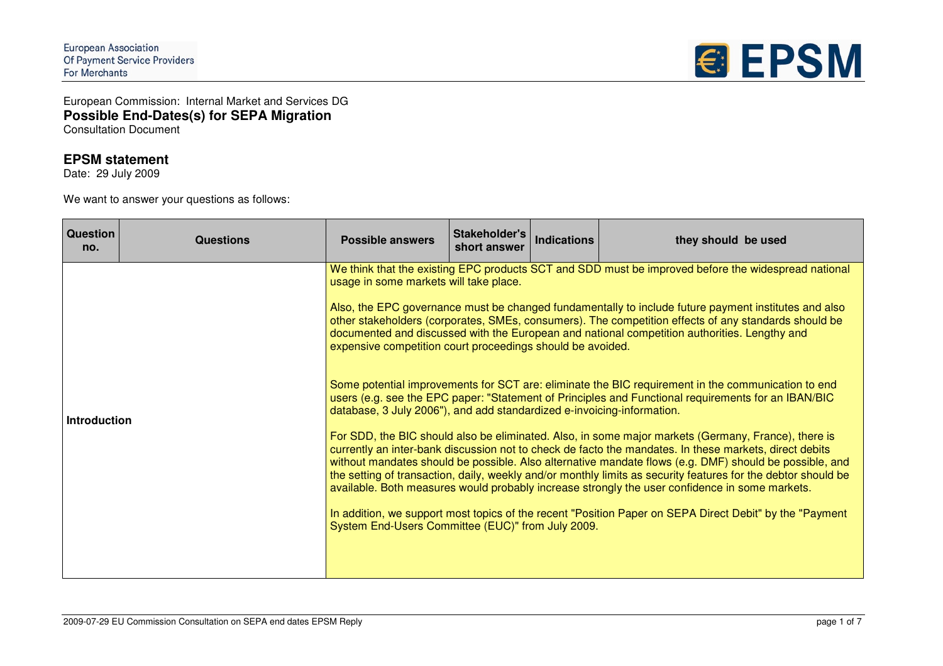

European Commission: Internal Market and Services DG **Possible End-Dates(s) for SEPA Migration** Consultation Document

## **EPSM statement**

Date: 29 July 2009

We want to answer your questions as follows:

| <b>Question</b><br>no. | <b>Questions</b> | <b>Possible answers</b>                                                                                                                                                                                                             | Stakeholder's<br>short answer | <b>Indications</b> | they should be used                                                                                                                                                                                                                                                                                                                                                                                                                                                                                                                                                                                                                                                                                                                                                                                                                                                                                                                                                                                                                                                                                                                                                                                                                                                                        |
|------------------------|------------------|-------------------------------------------------------------------------------------------------------------------------------------------------------------------------------------------------------------------------------------|-------------------------------|--------------------|--------------------------------------------------------------------------------------------------------------------------------------------------------------------------------------------------------------------------------------------------------------------------------------------------------------------------------------------------------------------------------------------------------------------------------------------------------------------------------------------------------------------------------------------------------------------------------------------------------------------------------------------------------------------------------------------------------------------------------------------------------------------------------------------------------------------------------------------------------------------------------------------------------------------------------------------------------------------------------------------------------------------------------------------------------------------------------------------------------------------------------------------------------------------------------------------------------------------------------------------------------------------------------------------|
| <b>Introduction</b>    |                  | usage in some markets will take place.<br>expensive competition court proceedings should be avoided.<br>database, 3 July 2006"), and add standardized e-invoicing-information.<br>System End-Users Committee (EUC)" from July 2009. |                               |                    | We think that the existing EPC products SCT and SDD must be improved before the widespread national<br>Also, the EPC governance must be changed fundamentally to include future payment institutes and also<br>other stakeholders (corporates, SMEs, consumers). The competition effects of any standards should be<br>documented and discussed with the European and national competition authorities. Lengthy and<br>Some potential improvements for SCT are: eliminate the BIC requirement in the communication to end<br>users (e.g. see the EPC paper: "Statement of Principles and Functional requirements for an IBAN/BIC<br>For SDD, the BIC should also be eliminated. Also, in some major markets (Germany, France), there is<br>currently an inter-bank discussion not to check de facto the mandates. In these markets, direct debits<br>without mandates should be possible. Also alternative mandate flows (e.g. DMF) should be possible, and<br>the setting of transaction, daily, weekly and/or monthly limits as security features for the debtor should be<br>available. Both measures would probably increase strongly the user confidence in some markets.<br>In addition, we support most topics of the recent "Position Paper on SEPA Direct Debit" by the "Payment" |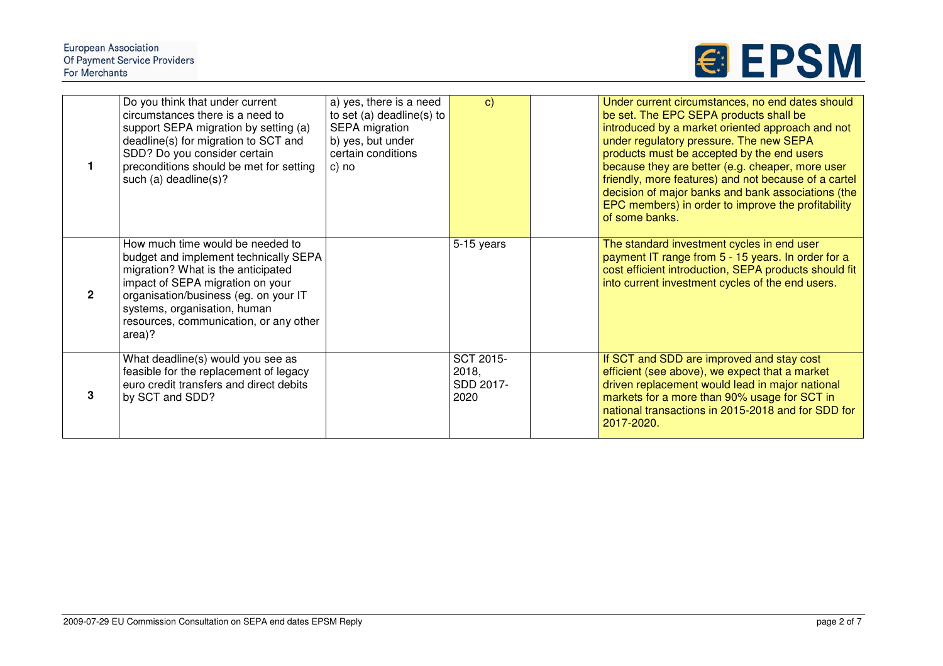

|                | Do you think that under current<br>circumstances there is a need to<br>support SEPA migration by setting (a)<br>deadline(s) for migration to SCT and<br>SDD? Do you consider certain<br>preconditions should be met for setting<br>such (a) deadline(s)?                         | a) yes, there is a need<br>to set (a) deadline(s) to<br>SEPA migration<br>b) yes, but under<br>certain conditions<br>c) no | $\mathbf{C}$                                   | Under current circumstances, no end dates should<br>be set. The EPC SEPA products shall be<br>introduced by a market oriented approach and not<br>under regulatory pressure. The new SEPA<br>products must be accepted by the end users<br>because they are better (e.g. cheaper, more user<br>friendly, more features) and not because of a cartel<br>decision of major banks and bank associations (the<br>EPC members) in order to improve the profitability<br>of some banks. |
|----------------|----------------------------------------------------------------------------------------------------------------------------------------------------------------------------------------------------------------------------------------------------------------------------------|----------------------------------------------------------------------------------------------------------------------------|------------------------------------------------|-----------------------------------------------------------------------------------------------------------------------------------------------------------------------------------------------------------------------------------------------------------------------------------------------------------------------------------------------------------------------------------------------------------------------------------------------------------------------------------|
| $\overline{2}$ | How much time would be needed to<br>budget and implement technically SEPA<br>migration? What is the anticipated<br>impact of SEPA migration on your<br>organisation/business (eg. on your IT<br>systems, organisation, human<br>resources, communication, or any other<br>area)? |                                                                                                                            | 5-15 years                                     | The standard investment cycles in end user<br>payment IT range from 5 - 15 years. In order for a<br>cost efficient introduction, SEPA products should fit<br>into current investment cycles of the end users.                                                                                                                                                                                                                                                                     |
| 3              | What deadline(s) would you see as<br>feasible for the replacement of legacy<br>euro credit transfers and direct debits<br>by SCT and SDD?                                                                                                                                        |                                                                                                                            | <b>SCT 2015-</b><br>2018,<br>SDD 2017-<br>2020 | If SCT and SDD are improved and stay cost<br>efficient (see above), we expect that a market<br>driven replacement would lead in major national<br>markets for a more than 90% usage for SCT in<br>national transactions in 2015-2018 and for SDD for<br>2017-2020.                                                                                                                                                                                                                |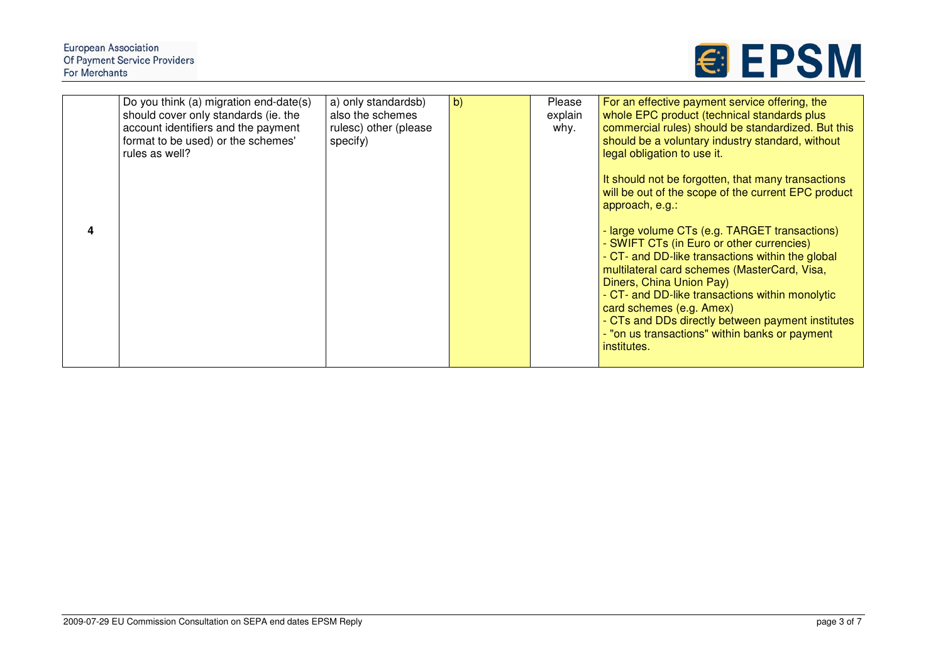| 4 | Do you think (a) migration end-date(s)<br>should cover only standards (ie. the<br>account identifiers and the payment<br>format to be used) or the schemes'<br>rules as well? | a) only standardsb)<br>also the schemes<br>rulesc) other (please<br>specify) | $\vert b \rangle$ | Please<br>explain<br>why. | For an effective payment service offering, the<br>whole EPC product (technical standards plus<br>commercial rules) should be standardized. But this<br>should be a voluntary industry standard, without<br>legal obligation to use it.<br>It should not be forgotten, that many transactions<br>will be out of the scope of the current EPC product<br>approach, e.g.:<br>- large volume CTs (e.g. TARGET transactions)<br>- SWIFT CTs (in Euro or other currencies)<br>- CT- and DD-like transactions within the global<br>multilateral card schemes (MasterCard, Visa,<br>Diners, China Union Pay)<br>- CT- and DD-like transactions within monolytic<br>card schemes (e.g. Amex)<br>- CTs and DDs directly between payment institutes<br>- "on us transactions" within banks or payment<br>institutes. |
|---|-------------------------------------------------------------------------------------------------------------------------------------------------------------------------------|------------------------------------------------------------------------------|-------------------|---------------------------|-----------------------------------------------------------------------------------------------------------------------------------------------------------------------------------------------------------------------------------------------------------------------------------------------------------------------------------------------------------------------------------------------------------------------------------------------------------------------------------------------------------------------------------------------------------------------------------------------------------------------------------------------------------------------------------------------------------------------------------------------------------------------------------------------------------|
|   |                                                                                                                                                                               |                                                                              |                   |                           |                                                                                                                                                                                                                                                                                                                                                                                                                                                                                                                                                                                                                                                                                                                                                                                                           |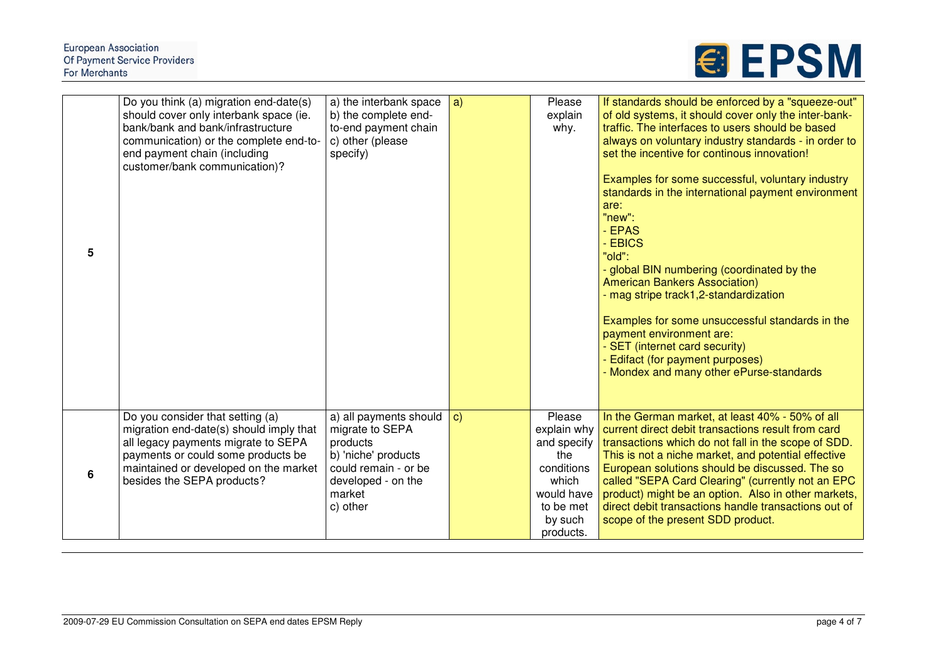| 5 | Do you think (a) migration end-date(s)<br>should cover only interbank space (ie.<br>bank/bank and bank/infrastructure<br>communication) or the complete end-to-<br>end payment chain (including<br>customer/bank communication)? | a) the interbank space<br>b) the complete end-<br>to-end payment chain<br>c) other (please<br>specify)                                           | a)           | Please<br>explain<br>why.                                                                                             | If standards should be enforced by a "squeeze-out"<br>of old systems, it should cover only the inter-bank-<br>traffic. The interfaces to users should be based<br>always on voluntary industry standards - in order to<br>set the incentive for continous innovation!<br>Examples for some successful, voluntary industry<br>standards in the international payment environment<br>are:<br>"new":<br>- EPAS<br>- EBICS<br>"old":<br>- global BIN numbering (coordinated by the<br><b>American Bankers Association)</b><br>- mag stripe track1,2-standardization<br>Examples for some unsuccessful standards in the<br>payment environment are:<br>- SET (internet card security)<br>Edifact (for payment purposes)<br>- Mondex and many other ePurse-standards |
|---|----------------------------------------------------------------------------------------------------------------------------------------------------------------------------------------------------------------------------------|--------------------------------------------------------------------------------------------------------------------------------------------------|--------------|-----------------------------------------------------------------------------------------------------------------------|----------------------------------------------------------------------------------------------------------------------------------------------------------------------------------------------------------------------------------------------------------------------------------------------------------------------------------------------------------------------------------------------------------------------------------------------------------------------------------------------------------------------------------------------------------------------------------------------------------------------------------------------------------------------------------------------------------------------------------------------------------------|
|   |                                                                                                                                                                                                                                  |                                                                                                                                                  |              |                                                                                                                       |                                                                                                                                                                                                                                                                                                                                                                                                                                                                                                                                                                                                                                                                                                                                                                |
| 6 | Do you consider that setting (a)<br>migration end-date(s) should imply that<br>all legacy payments migrate to SEPA<br>payments or could some products be<br>maintained or developed on the market<br>besides the SEPA products?  | a) all payments should<br>migrate to SEPA<br>products<br>b) 'niche' products<br>could remain - or be<br>developed - on the<br>market<br>c) other | $\mathbf{c}$ | Please<br>explain why<br>and specify<br>the<br>conditions<br>which<br>would have<br>to be met<br>by such<br>products. | In the German market, at least 40% - 50% of all<br>current direct debit transactions result from card<br>transactions which do not fall in the scope of SDD.<br>This is not a niche market, and potential effective<br>European solutions should be discussed. The so<br>called "SEPA Card Clearing" (currently not an EPC<br>product) might be an option. Also in other markets,<br>direct debit transactions handle transactions out of<br>scope of the present SDD product.                                                                                                                                                                                                                                                                                 |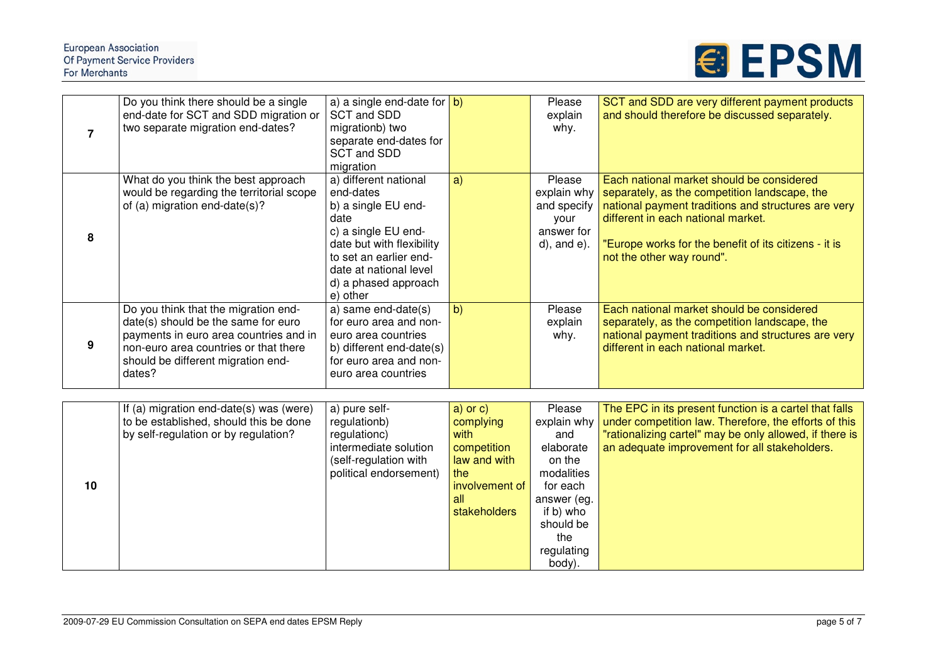## European Association<br>Of Payment Service Providers For Merchants



| 7  | Do you think there should be a single<br>end-date for SCT and SDD migration or<br>two separate migration end-dates?                                                                                            | a) a single end-date for $\vert b \rangle$<br>SCT and SDD<br>migrationb) two<br>separate end-dates for                                                                                                        |                                                                                                                  | Please<br>explain<br>why.                                                                                                                             | SCT and SDD are very different payment products<br>and should therefore be discussed separately.                                                                                                                                                                              |
|----|----------------------------------------------------------------------------------------------------------------------------------------------------------------------------------------------------------------|---------------------------------------------------------------------------------------------------------------------------------------------------------------------------------------------------------------|------------------------------------------------------------------------------------------------------------------|-------------------------------------------------------------------------------------------------------------------------------------------------------|-------------------------------------------------------------------------------------------------------------------------------------------------------------------------------------------------------------------------------------------------------------------------------|
|    |                                                                                                                                                                                                                | SCT and SDD<br>migration                                                                                                                                                                                      |                                                                                                                  |                                                                                                                                                       |                                                                                                                                                                                                                                                                               |
| 8  | What do you think the best approach<br>would be regarding the territorial scope<br>of (a) migration end-date(s)?                                                                                               | a) different national<br>end-dates<br>b) a single EU end-<br>date<br>c) a single EU end-<br>date but with flexibility<br>to set an earlier end-<br>date at national level<br>d) a phased approach<br>e) other | a)                                                                                                               | Please<br>explain why<br>and specify<br>your<br>answer for<br>$d$ , and $e$ ).                                                                        | Each national market should be considered<br>separately, as the competition landscape, the<br>national payment traditions and structures are very<br>different in each national market.<br>"Europe works for the benefit of its citizens - it is<br>not the other way round". |
| 9  | Do you think that the migration end-<br>date(s) should be the same for euro<br>payments in euro area countries and in<br>non-euro area countries or that there<br>should be different migration end-<br>dates? | a) same end-date(s)<br>for euro area and non-<br>euro area countries<br>b) different end-date(s)<br>for euro area and non-<br>euro area countries                                                             | b)                                                                                                               | Please<br>explain<br>why.                                                                                                                             | Each national market should be considered<br>separately, as the competition landscape, the<br>national payment traditions and structures are very<br>different in each national market.                                                                                       |
|    |                                                                                                                                                                                                                |                                                                                                                                                                                                               |                                                                                                                  |                                                                                                                                                       |                                                                                                                                                                                                                                                                               |
| 10 | If (a) migration end-date(s) was (were)<br>to be established, should this be done<br>by self-regulation or by regulation?                                                                                      | a) pure self-<br>regulationb)<br>regulationc)<br>intermediate solution<br>(self-regulation with<br>political endorsement)                                                                                     | $a)$ or $c)$<br>complying<br>with<br>competition<br>law and with<br>the<br>involvement of<br>all<br>stakeholders | Please<br>explain why<br>and<br>elaborate<br>on the<br>modalities<br>for each<br>answer (eg.<br>if b) who<br>should be<br>the<br>regulating<br>body). | The EPC in its present function is a cartel that falls<br>under competition law. Therefore, the efforts of this<br>"rationalizing cartel" may be only allowed, if there is<br>an adequate improvement for all stakeholders.                                                   |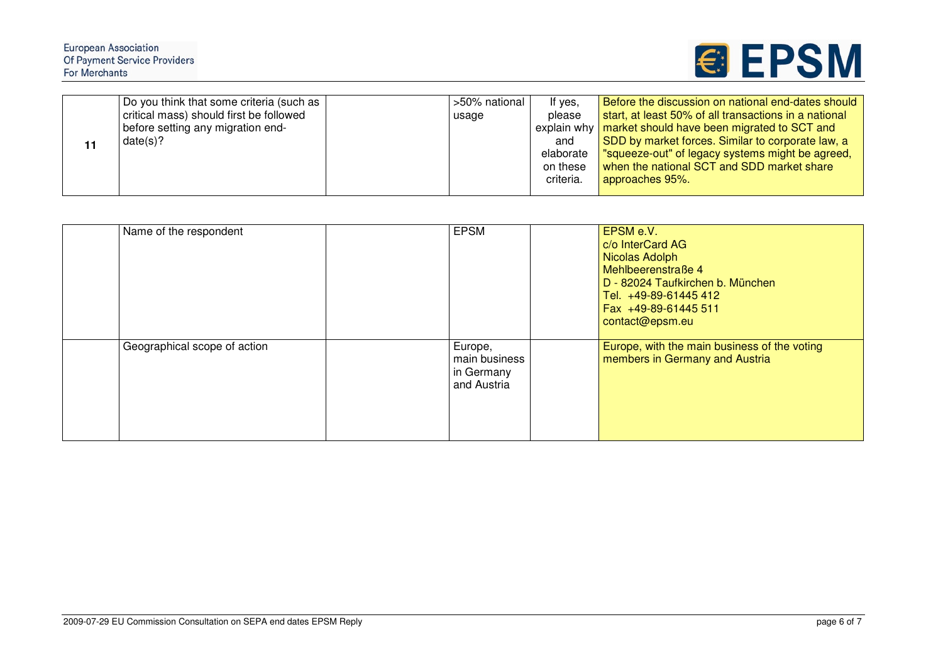## European Association<br>Of Payment Service Providers For Merchants

| 11 | Do you think that some criteria (such as | >50% national | If yes,   | Before the discussion on national end-dates should        |
|----|------------------------------------------|---------------|-----------|-----------------------------------------------------------|
|    | critical mass) should first be followed  | usage         | please    | start, at least 50% of all transactions in a national     |
|    | before setting any migration end-        |               |           | explain why   market should have been migrated to SCT and |
|    | date(s)?                                 |               | and       | SDD by market forces. Similar to corporate law, a         |
|    |                                          |               | elaborate | "squeeze-out" of legacy systems might be agreed,          |
|    |                                          |               | on these  | when the national SCT and SDD market share                |
|    |                                          |               | criteria. | approaches 95%.                                           |
|    |                                          |               |           |                                                           |

| Name of the respondent       | <b>EPSM</b>                                                        | EPSM e.V.<br>c/o InterCard AG<br>Nicolas Adolph<br>Mehlbeerenstraße 4<br>D - 82024 Taufkirchen b. München<br>Tel. +49-89-61445 412<br>Fax +49-89-61445 511<br>contact@epsm.eu |
|------------------------------|--------------------------------------------------------------------|-------------------------------------------------------------------------------------------------------------------------------------------------------------------------------|
| Geographical scope of action | <sub>I</sub> Europe,<br>main business<br>in Germany<br>and Austria | Europe, with the main business of the voting<br>members in Germany and Austria                                                                                                |